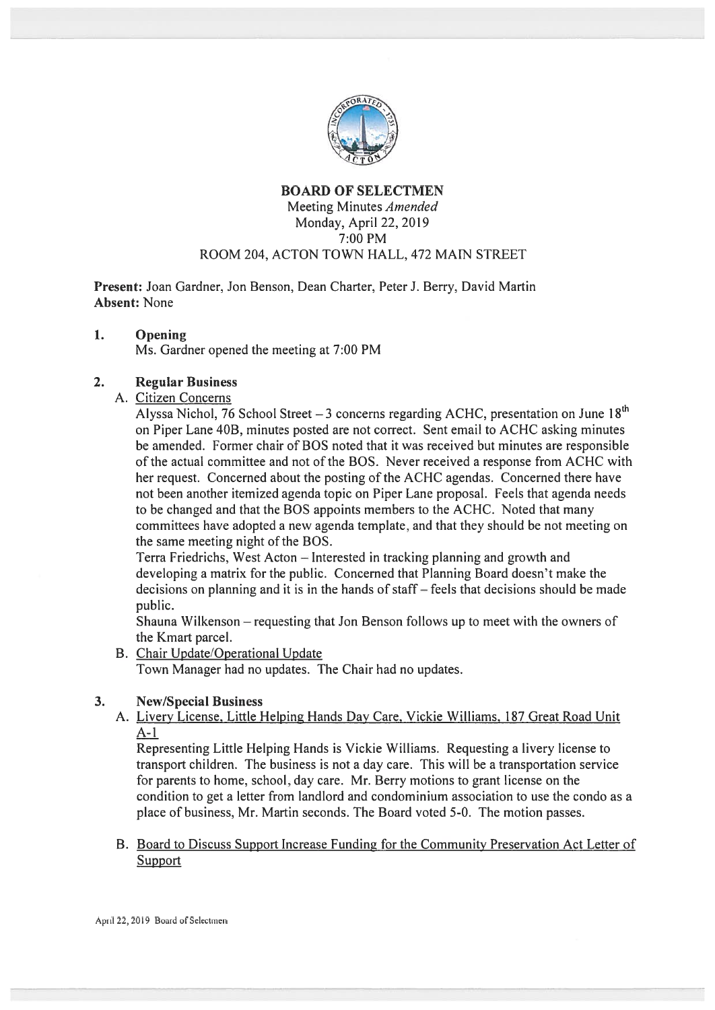

# BOARD OF SELECTMEN Meeting Minutes Amended Monday, April 22, 2019 7:00 PM ROOM 204, ACTON TOWN HALL, 472 MAIN STREET

Present: Joan Gardner, Jon Benson, Dean Charter, Peter J. Berry, David Martin Absent: None

### 1. Opening

Ms. Gardner opened the meeting at 7:00 PM

# 2. Regular Business

A. Citizen Concerns

Alyssa Nichol, 76 School Street  $-3$  concerns regarding ACHC, presentation on June 18<sup>th</sup> on Piper Lane 40B, minutes posted are not correct. Sent email to ACHC asking minutes be amended. Former chair of BOS noted that it was received but minutes are responsible of the actual committee and not of the BOS. Never received <sup>a</sup> response from ACHC with her request. Concerned about the posting of the ACHC agendas. Concerned there have not been another itemized agenda topic on Piper Lane proposal. Feels that agenda needs to be changed and that the BOS appoints members to the ACHC. Noted that many committees have adopted <sup>a</sup> new agenda template, and that they should be not meeting on the same meeting night of the BOS.

Terra Friedrichs, West Acton — Interested in tracking planning and growth and developing <sup>a</sup> matrix for the public. Concerned that Planning Board doesn't make the decisions on planning and it is in the hands of staff— feels that decisions should be made public.

Shauna Wilkenson — requesting that Jon Benson follows up to meet with the owners of the Kmart parcel.

B. Chair Update/Operational Update

Town Manager had no updates. The Chair had no updates.

# 3. New/Special Business

A. Livery License, Little Helping Hands Day Care, Vickie Williams, 187 Great Road Unit  $A-1$ 

Representing Little Helping Hands is Vickie Williams. Requesting <sup>a</sup> livery license to transport children. The business is not <sup>a</sup> day care. This will be <sup>a</sup> transportation service for parents to home, school, day care. Mr. Berry motions to gran<sup>t</sup> license on the condition to ge<sup>t</sup> <sup>a</sup> letter from landlord and condominium association to use the condo as <sup>a</sup> place of business, Mr. Martin seconds. The Board voted 5-0. The motion passes.

# B. Board to Discuss Support Increase funding for the Community Preservation Act Letter of Support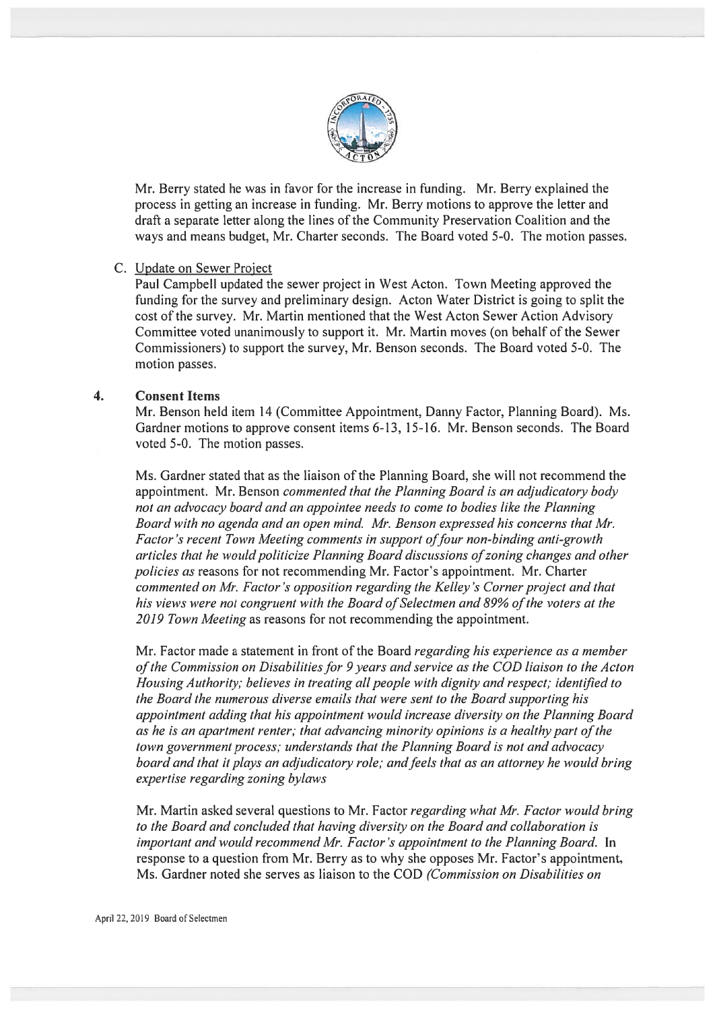

Mr. Berry stated he was in favor for the increase in funding. Mr. Berry explained the process in getting an increase in funding. Mr. Berry motions to approve the letter and draft <sup>a</sup> separate letter along the lines of the Community Preservation Coalition and the ways and means budget, Mr. Charter seconds. The Board voted 5-0. The motion passes.

### C. Update on Sewer Project

Paul Campbell updated the sewer project in West Acton. Town Meeting approved the funding for the survey and preliminary design. Acton Water District is going to split the cost of the survey. Mr. Martin mentioned that the West Acton Sewer Action Advisory Committee voted unanimously to suppor<sup>t</sup> it. Mr. Martin moves (on behalf of the Sewer Commissioners) to suppor<sup>t</sup> the survey, Mr. Benson seconds. The Board voted 5-0. The motion passes.

### 4. Consent Items

Mr. Benson held item 14 (Committee Appointment, Danny Factor, Planning Board). Ms. Gardner motions to approve consent items 6-13, 15-16. Mr. Benson seconds. The Board voted 5-0. The motion passes.

Ms. Gardner stated that as the liaison of the Planning Board, she will not recommend the appointment. Mr. Benson commented that the Planning Board is an adjudicatory body not an advocacy board and an appointee needs to come to bodies like the Planning Board with no agenda and an open mind. Mr. Benson expressed his concerns that Mr. Factor's recent Town Meeting comments in support of four non-binding anti-growth articles that he would politicize Planning Board discussions of zoning changes and other policies as reasons for not recommending Mr. Factor's appointment. Mr. Charter commented on Mr. factor 's opposition regarding the Kellev 's Corner project and that his views were not congruent with the Board of Selectmen and 89% of the voters at the 2019 Town Meeting as reasons for not recommending the appointment.

Mr. Factor made a statement in front of the Board regarding his experience as a member of the Commission on Disabilities for 9 years and service as the COD liaison to the Acton Housing Authority; believes in treating all people with dignity and respect; identified to the Board the numerous diverse emails that were sent to the Board supporting his appointment adding that his appointment would increase diversity on the Planning Board as he is an apartment renter; that advancing minority opinions is a healthy part of the town government process; understands that the Planning Board is not and advocacy board and that it plays an adjudicatory role; and feels that as an attorney he would bring expertise regarding zoning bylaws

Mr. Martin asked several questions to Mr. Factor *regarding what Mr. Factor would bring* to the Board and concluded that having diversity on the Board and collaboration is important and would recommend Mr. Factor 's appointment to the Planning Board. In response to <sup>a</sup> question from Mr. Berry as to why she opposes Mr. Factor's appointment, Ms. Gardner noted she serves as liaison to the COD (Commission on Disabilities on